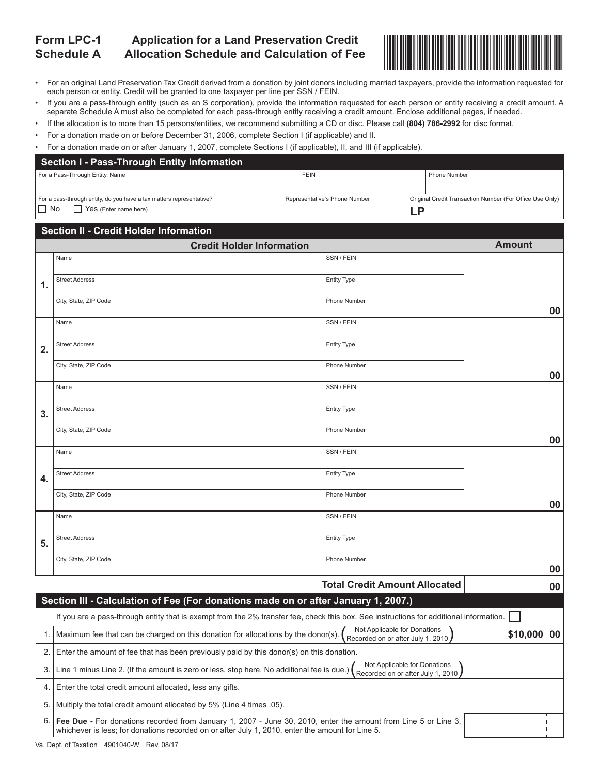#### **Form LPC-1 Schedule A Application for a Land Preservation Credit Allocation Schedule and Calculation of Fee**



- For an original Land Preservation Tax Credit derived from a donation by joint donors including married taxpayers, provide the information requested for each person or entity. Credit will be granted to one taxpayer per line per SSN / FEIN.
- If you are a pass-through entity (such as an S corporation), provide the information requested for each person or entity receiving a credit amount. A separate Schedule A must also be completed for each pass-through entity receiving a credit amount. Enclose additional pages, if needed.
- If the allocation is to more than 15 persons/entities, we recommend submitting a CD or disc. Please call **(804) 786-2992** for disc format.
- For a donation made on or before December 31, 2006, complete Section I (if applicable) and II.
- For a donation made on or after January 1, 2007, complete Sections I (if applicable), II, and III (if applicable).

| Section I - Pass-Through Entity Information                          |  |                               |    |                                                          |
|----------------------------------------------------------------------|--|-------------------------------|----|----------------------------------------------------------|
| For a Pass-Through Entity, Name                                      |  | <b>FEIN</b>                   |    | Phone Number                                             |
|                                                                      |  |                               |    |                                                          |
| For a pass-through entity, do you have a tax matters representative? |  | Representative's Phone Number |    | Original Credit Transaction Number (For Office Use Only) |
| $\Box$ No<br>Yes (Enter name here)                                   |  |                               | _P |                                                          |

|    | <b>Section II - Credit Holder Information</b>                                                                                          |                                                                   |               |  |
|----|----------------------------------------------------------------------------------------------------------------------------------------|-------------------------------------------------------------------|---------------|--|
|    | <b>Credit Holder Information</b>                                                                                                       |                                                                   | <b>Amount</b> |  |
|    | Name                                                                                                                                   | SSN / FEIN                                                        |               |  |
| 1. | <b>Street Address</b>                                                                                                                  | <b>Entity Type</b>                                                |               |  |
|    | City, State, ZIP Code                                                                                                                  | Phone Number                                                      | 00            |  |
|    | Name                                                                                                                                   | SSN / FEIN                                                        |               |  |
| 2. | <b>Street Address</b>                                                                                                                  | <b>Entity Type</b>                                                |               |  |
|    | City, State, ZIP Code                                                                                                                  | Phone Number                                                      | 00            |  |
|    | Name                                                                                                                                   | SSN / FEIN                                                        |               |  |
| 3. | <b>Street Address</b>                                                                                                                  | <b>Entity Type</b>                                                |               |  |
|    | City, State, ZIP Code                                                                                                                  | Phone Number                                                      | 00            |  |
|    | Name                                                                                                                                   | SSN / FEIN                                                        |               |  |
| 4. | <b>Street Address</b>                                                                                                                  | <b>Entity Type</b>                                                |               |  |
|    | City, State, ZIP Code                                                                                                                  | <b>Phone Number</b>                                               | 00            |  |
|    | Name                                                                                                                                   | SSN / FEIN                                                        |               |  |
| 5. | <b>Street Address</b>                                                                                                                  | <b>Entity Type</b>                                                |               |  |
|    | City, State, ZIP Code                                                                                                                  | Phone Number                                                      | 00            |  |
|    |                                                                                                                                        | <b>Total Credit Amount Allocated</b>                              | 00            |  |
|    | Section III - Calculation of Fee (For donations made on or after January 1, 2007.)                                                     |                                                                   |               |  |
|    | If you are a pass-through entity that is exempt from the 2% transfer fee, check this box. See instructions for additional information. |                                                                   |               |  |
| 1. | Maximum fee that can be charged on this donation for allocations by the donor(s).                                                      | Not Applicable for Donations<br>Recorded on or after July 1, 2010 | \$10,000 00   |  |

|  | 1.   Maximum fee that can be charged on this donation for allocations by the donor(s). $\binom{R}{R}\$ Recorded on or after July 1, 2010                                                                                     | \$10,000 00 |  |
|--|------------------------------------------------------------------------------------------------------------------------------------------------------------------------------------------------------------------------------|-------------|--|
|  | 2. Enter the amount of fee that has been previously paid by this donor(s) on this donation.                                                                                                                                  |             |  |
|  | Not Applicable for Donations<br>3. Line 1 minus Line 2. (If the amount is zero or less, stop here. No additional fee is due.)<br>Recorded on or after July 1, 2010 /                                                         |             |  |
|  | 4. Enter the total credit amount allocated, less any gifts.                                                                                                                                                                  |             |  |
|  | 5. Multiply the total credit amount allocated by 5% (Line 4 times 05).                                                                                                                                                       |             |  |
|  | 6. <b>Fee Due</b> - For donations recorded from January 1, 2007 - June 30, 2010, enter the amount from Line 5 or Line 3,<br>whichever is less; for donations recorded on or after July 1, 2010, enter the amount for Line 5. |             |  |

Va. Dept. of Taxation 4901040-W Rev. 08/17